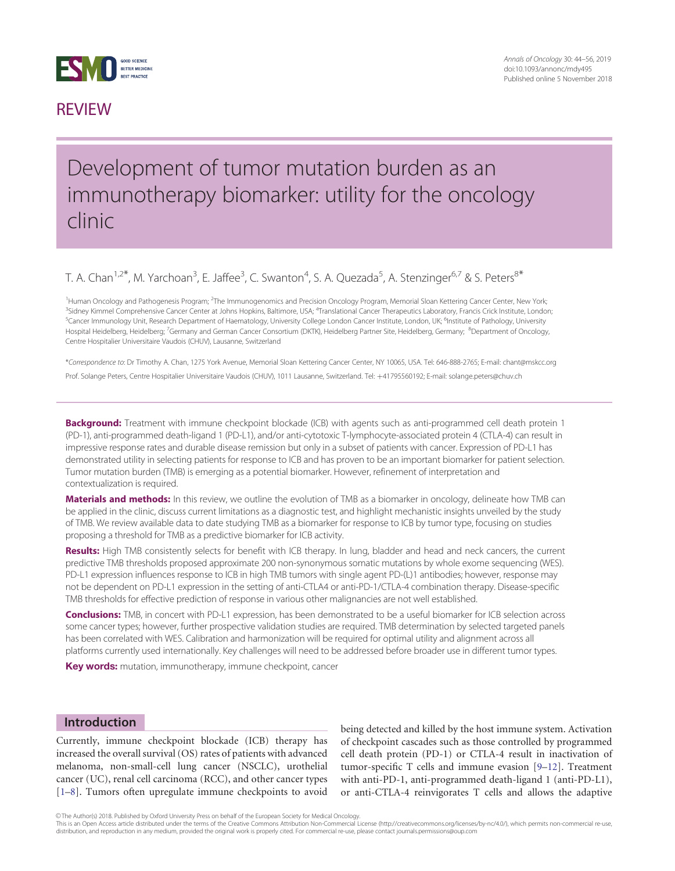

## **REVIEW**

## Development of tumor mutation burden as an immunotherapy biomarker: utility for the oncology clinic

## T. A. Chan<sup>1,2\*</sup>, M. Yarchoan<sup>3</sup>, E. Jaffee<sup>3</sup>, C. Swanton<sup>4</sup>, S. A. Quezada<sup>5</sup>, A. Stenzinger<sup>6,7</sup> & S. Peters<sup>8\*</sup>

<sup>1</sup> Human Oncology and Pathogenesis Program; <sup>2</sup>The Immunogenomics and Precision Oncology Program, Memorial Sloan Kettering Cancer Center, New York; <sup>3</sup>Sidney Kimmel Comprehensive Cancer Center at Johns Hopkins, Baltimore, USA; <sup>4</sup>Translational Cancer Therapeutics Laboratory, Francis Crick Institute, London, <sup>5</sup>Cancer Immunology Unit, Research Department of Haematology, University College London Cancer Institute, London, UK; <sup>6</sup>Institute of Pathology, University Hospital Heidelberg, Heidelberg; <sup>7</sup>Germany and German Cancer Consortium (DKTK), Heidelberg Partner Site, Heidelberg, Germany; <sup>8</sup>Department of Oncology, Centre Hospitalier Universitaire Vaudois (CHUV), Lausanne, Switzerland

\*Correspondence to: Dr Timothy A. Chan, 1275 York Avenue, Memorial Sloan Kettering Cancer Center, NY 10065, USA. Tel: 646-888-2765; E-mail: chant@mskcc.org Prof. Solange Peters, Centre Hospitalier Universitaire Vaudois (CHUV), 1011 Lausanne, Switzerland. Tel: +41795560192; E-mail: solange.peters@chuv.ch

**Background:** Treatment with immune checkpoint blockade (ICB) with agents such as anti-programmed cell death protein 1 (PD-1), anti-programmed death-ligand 1 (PD-L1), and/or anti-cytotoxic T-lymphocyte-associated protein 4 (CTLA-4) can result in impressive response rates and durable disease remission but only in a subset of patients with cancer. Expression of PD-L1 has demonstrated utility in selecting patients for response to ICB and has proven to be an important biomarker for patient selection. Tumor mutation burden (TMB) is emerging as a potential biomarker. However, refinement of interpretation and contextualization is required.

Materials and methods: In this review, we outline the evolution of TMB as a biomarker in oncology, delineate how TMB can be applied in the clinic, discuss current limitations as a diagnostic test, and highlight mechanistic insights unveiled by the study of TMB. We review available data to date studying TMB as a biomarker for response to ICB by tumor type, focusing on studies proposing a threshold for TMB as a predictive biomarker for ICB activity.

Results: High TMB consistently selects for benefit with ICB therapy. In lung, bladder and head and neck cancers, the current predictive TMB thresholds proposed approximate 200 non-synonymous somatic mutations by whole exome sequencing (WES). PD-L1 expression influences response to ICB in high TMB tumors with single agent PD-(L)1 antibodies; however, response may not be dependent on PD-L1 expression in the setting of anti-CTLA4 or anti-PD-1/CTLA-4 combination therapy. Disease-specific TMB thresholds for effective prediction of response in various other malignancies are not well established.

Conclusions: TMB, in concert with PD-L1 expression, has been demonstrated to be a useful biomarker for ICB selection across some cancer types; however, further prospective validation studies are required. TMB determination by selected targeted panels has been correlated with WES. Calibration and harmonization will be required for optimal utility and alignment across all platforms currently used internationally. Key challenges will need to be addressed before broader use in different tumor types.

Key words: mutation, immunotherapy, immune checkpoint, cancer

#### Introduction

Currently, immune checkpoint blockade (ICB) therapy has increased the overall survival (OS) rates of patients with advanced melanoma, non-small-cell lung cancer (NSCLC), urothelial cancer (UC), renal cell carcinoma (RCC), and other cancer types [[1](#page-10-0)–[8](#page-10-0)]. Tumors often upregulate immune checkpoints to avoid

being detected and killed by the host immune system. Activation of checkpoint cascades such as those controlled by programmed cell death protein (PD-1) or CTLA-4 result in inactivation of tumor-specific T cells and immune evasion [[9](#page-10-0)–[12\]](#page-10-0). Treatment with anti-PD-1, anti-programmed death-ligand 1 (anti-PD-L1), or anti-CTLA-4 reinvigorates T cells and allows the adaptive

This is an Open Access article distributed under the terms of the Creative Commons Attribution Non-Commercial License (http://creativecommons.org/licenses/by-nc/4.0/), which permits non-commercial re-use, distribution, and reproduction in any medium, provided the original work is properly cited. For commercial re-use, please contact journals.permissions@oup.com

V<sup>C</sup> The Author(s) 2018. Published by Oxford University Press on behalf of the European Society for Medical Oncology.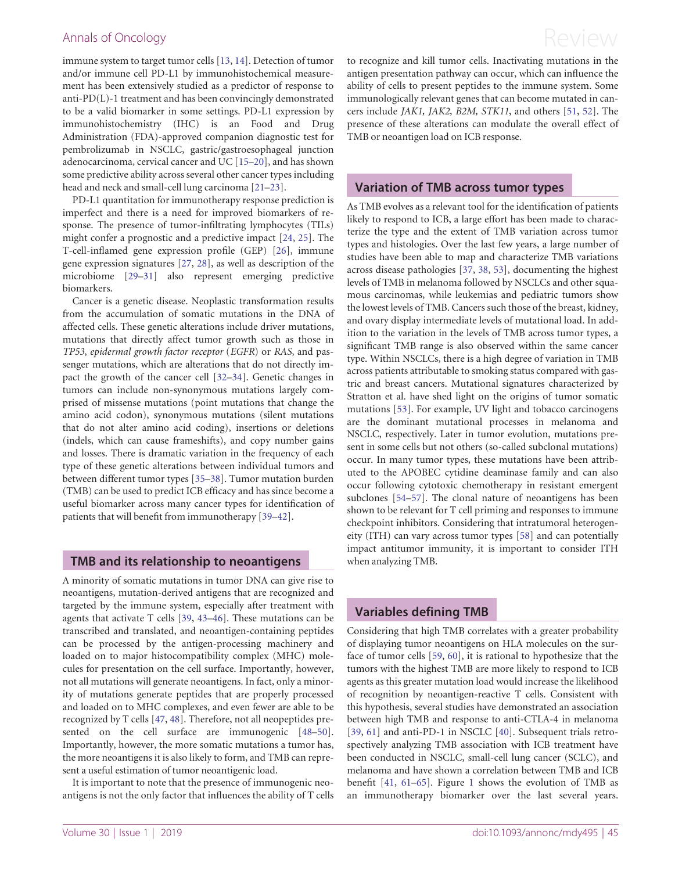<span id="page-1-0"></span>immune system to target tumor cells [[13,](#page-10-0) [14](#page-10-0)]. Detection of tumor and/or immune cell PD-L1 by immunohistochemical measurement has been extensively studied as a predictor of response to anti-PD(L)-1 treatment and has been convincingly demonstrated to be a valid biomarker in some settings. PD-L1 expression by immunohistochemistry (IHC) is an Food and Drug Administration (FDA)-approved companion diagnostic test for pembrolizumab in NSCLC, gastric/gastroesophageal junction adenocarcinoma, cervical cancer and UC [[15–20\]](#page-10-0), and has shown some predictive ability across several other cancer types including head and neck and small-cell lung carcinoma [\[21–23](#page-10-0)].

PD-L1 quantitation for immunotherapy response prediction is imperfect and there is a need for improved biomarkers of response. The presence of tumor-infiltrating lymphocytes (TILs) might confer a prognostic and a predictive impact [[24,](#page-10-0) [25\]](#page-10-0). The T-cell-inflamed gene expression profile (GEP) [[26\]](#page-10-0), immune gene expression signatures [[27,](#page-10-0) [28\]](#page-10-0), as well as description of the microbiome [\[29–31](#page-10-0)] also represent emerging predictive biomarkers.

Cancer is a genetic disease. Neoplastic transformation results from the accumulation of somatic mutations in the DNA of affected cells. These genetic alterations include driver mutations, mutations that directly affect tumor growth such as those in TP53, epidermal growth factor receptor (EGFR) or RAS, and passenger mutations, which are alterations that do not directly impact the growth of the cancer cell [[32–34\]](#page-10-0). Genetic changes in tumors can include non-synonymous mutations largely comprised of missense mutations (point mutations that change the amino acid codon), synonymous mutations (silent mutations that do not alter amino acid coding), insertions or deletions (indels, which can cause frameshifts), and copy number gains and losses. There is dramatic variation in the frequency of each type of these genetic alterations between individual tumors and between different tumor types [[35](#page-10-0)–[38](#page-10-0)]. Tumor mutation burden (TMB) can be used to predict ICB efficacy and has since become a useful biomarker across many cancer types for identification of patients that will benefit from immunotherapy [[39](#page-10-0)–[42\]](#page-10-0).

#### TMB and its relationship to neoantigens

A minority of somatic mutations in tumor DNA can give rise to neoantigens, mutation-derived antigens that are recognized and targeted by the immune system, especially after treatment with agents that activate T cells [[39,](#page-10-0) [43–46](#page-11-0)]. These mutations can be transcribed and translated, and neoantigen-containing peptides can be processed by the antigen-processing machinery and loaded on to major histocompatibility complex (MHC) molecules for presentation on the cell surface. Importantly, however, not all mutations will generate neoantigens. In fact, only a minority of mutations generate peptides that are properly processed and loaded on to MHC complexes, and even fewer are able to be recognized by T cells [[47,](#page-11-0) [48](#page-11-0)]. Therefore, not all neopeptides presented on the cell surface are immunogenic [\[48](#page-11-0)–[50](#page-11-0)]. Importantly, however, the more somatic mutations a tumor has, the more neoantigens it is also likely to form, and TMB can represent a useful estimation of tumor neoantigenic load.

It is important to note that the presence of immunogenic neoantigens is not the only factor that influences the ability of T cells to recognize and kill tumor cells. Inactivating mutations in the antigen presentation pathway can occur, which can influence the ability of cells to present peptides to the immune system. Some immunologically relevant genes that can become mutated in cancers include JAK1, JAK2, B2M, STK11, and others [\[51,](#page-11-0) [52\]](#page-11-0). The presence of these alterations can modulate the overall effect of TMB or neoantigen load on ICB response.

#### Variation of TMB across tumor types

As TMB evolves as a relevant tool for the identification of patients likely to respond to ICB, a large effort has been made to characterize the type and the extent of TMB variation across tumor types and histologies. Over the last few years, a large number of studies have been able to map and characterize TMB variations across disease pathologies [[37](#page-10-0), [38](#page-10-0), [53](#page-11-0)], documenting the highest levels of TMB in melanoma followed by NSCLCs and other squamous carcinomas, while leukemias and pediatric tumors show the lowest levels of TMB. Cancers such those of the breast, kidney, and ovary display intermediate levels of mutational load. In addition to the variation in the levels of TMB across tumor types, a significant TMB range is also observed within the same cancer type. Within NSCLCs, there is a high degree of variation in TMB across patients attributable to smoking status compared with gastric and breast cancers. Mutational signatures characterized by Stratton et al. have shed light on the origins of tumor somatic mutations [\[53](#page-11-0)]. For example, UV light and tobacco carcinogens are the dominant mutational processes in melanoma and NSCLC, respectively. Later in tumor evolution, mutations present in some cells but not others (so-called subclonal mutations) occur. In many tumor types, these mutations have been attributed to the APOBEC cytidine deaminase family and can also occur following cytotoxic chemotherapy in resistant emergent subclones [\[54–57](#page-11-0)]. The clonal nature of neoantigens has been shown to be relevant for T cell priming and responses to immune checkpoint inhibitors. Considering that intratumoral heterogeneity (ITH) can vary across tumor types [[58\]](#page-11-0) and can potentially impact antitumor immunity, it is important to consider ITH when analyzing TMB.

### Variables defining TMB

Considering that high TMB correlates with a greater probability of displaying tumor neoantigens on HLA molecules on the surface of tumor cells [\[59](#page-11-0), [60](#page-11-0)], it is rational to hypothesize that the tumors with the highest TMB are more likely to respond to ICB agents as this greater mutation load would increase the likelihood of recognition by neoantigen-reactive T cells. Consistent with this hypothesis, several studies have demonstrated an association between high TMB and response to anti-CTLA-4 in melanoma [[39,](#page-10-0) [61\]](#page-11-0) and anti-PD-1 in NSCLC [[40\]](#page-10-0). Subsequent trials retrospectively analyzing TMB association with ICB treatment have been conducted in NSCLC, small-cell lung cancer (SCLC), and melanoma and have shown a correlation between TMB and ICB benefit [[41,](#page-10-0) [61–65](#page-11-0)]. Figure [1](#page-2-0) shows the evolution of TMB as an immunotherapy biomarker over the last several years.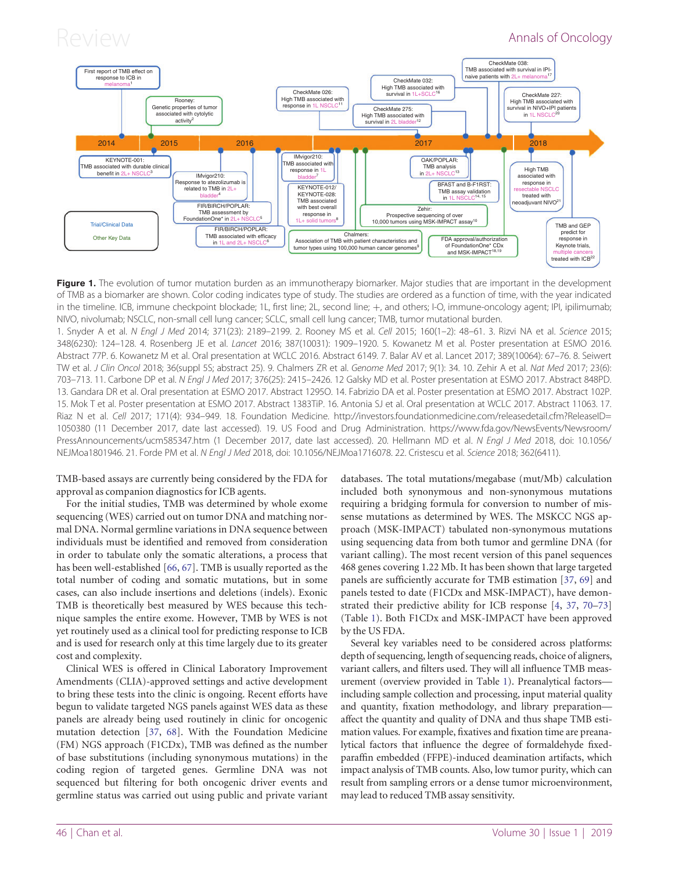<span id="page-2-0"></span>

Figure 1. The evolution of tumor mutation burden as an immunotherapy biomarker. Major studies that are important in the development of TMB as a biomarker are shown. Color coding indicates type of study. The studies are ordered as a function of time, with the year indicated in the timeline. ICB, immune checkpoint blockade; 1L, first line; 2L, second line; +, and others; I-O, immune-oncology agent; IPI, ipilimumab; NIVO, nivolumab; NSCLC, non-small cell lung cancer; SCLC, small cell lung cancer; TMB, tumor mutational burden.

1. Snyder A et al. N Engl J Med 2014; 371(23): 2189–2199. 2. Rooney MS et al. Cell 2015; 160(1–2): 48–61. 3. Rizvi NA et al. Science 2015; 348(6230): 124–128. 4. Rosenberg JE et al. Lancet 2016; 387(10031): 1909–1920. 5. Kowanetz M et al. Poster presentation at ESMO 2016. Abstract 77P. 6. Kowanetz M et al. Oral presentation at WCLC 2016. Abstract 6149. 7. Balar AV et al. Lancet 2017; 389(10064): 67–76. 8. Seiwert TW et al. J Clin Oncol 2018; 36(suppl 5S; abstract 25). 9. Chalmers ZR et al. Genome Med 2017; 9(1): 34. 10. Zehir A et al. Nat Med 2017; 23(6): 703–713. 11. Carbone DP et al. N Engl J Med 2017; 376(25): 2415–2426. 12 Galsky MD et al. Poster presentation at ESMO 2017. Abstract 848PD. 13. Gandara DR et al. Oral presentation at ESMO 2017. Abstract 1295O. 14. Fabrizio DA et al. Poster presentation at ESMO 2017. Abstract 102P. 15. Mok T et al. Poster presentation at ESMO 2017. Abstract 1383TiP. 16. Antonia SJ et al. Oral presentation at WCLC 2017. Abstract 11063. 17. Riaz N et al. Cell 2017; 171(4): 934–949. 18. Foundation Medicine. [http://investors.foundationmedicine.com/releasedetail.cfm?ReleaseID=](http://investors.foundationmedicine.com/releasedetail.cfm?ReleaseID=1050380) [1050380](http://investors.foundationmedicine.com/releasedetail.cfm?ReleaseID=1050380) (11 December 2017, date last accessed). 19. US Food and Drug Administration. [https://www.fda.gov/NewsEvents/Newsroom/](https://www.fda.gov/NewsEvents/Newsroom/PressAnnouncements/ucm585347.htm) [PressAnnouncements/ucm585347.htm](https://www.fda.gov/NewsEvents/Newsroom/PressAnnouncements/ucm585347.htm) (1 December 2017, date last accessed). 20. Hellmann MD et al. N Engl J Med 2018, doi: 10.1056/ NEJMoa1801946. 21. Forde PM et al. N Engl J Med 2018, doi: 10.1056/NEJMoa1716078. 22. Cristescu et al. Science 2018; 362(6411).

TMB-based assays are currently being considered by the FDA for approval as companion diagnostics for ICB agents.

For the initial studies, TMB was determined by whole exome sequencing (WES) carried out on tumor DNA and matching normal DNA. Normal germline variations in DNA sequence between individuals must be identified and removed from consideration in order to tabulate only the somatic alterations, a process that has been well-established [[66,](#page-11-0) [67](#page-11-0)]. TMB is usually reported as the total number of coding and somatic mutations, but in some cases, can also include insertions and deletions (indels). Exonic TMB is theoretically best measured by WES because this technique samples the entire exome. However, TMB by WES is not yet routinely used as a clinical tool for predicting response to ICB and is used for research only at this time largely due to its greater cost and complexity.

Clinical WES is offered in Clinical Laboratory Improvement Amendments (CLIA)-approved settings and active development to bring these tests into the clinic is ongoing. Recent efforts have begun to validate targeted NGS panels against WES data as these panels are already being used routinely in clinic for oncogenic mutation detection [\[37](#page-10-0), [68](#page-11-0)]. With the Foundation Medicine (FM) NGS approach (F1CDx), TMB was defined as the number of base substitutions (including synonymous mutations) in the coding region of targeted genes. Germline DNA was not sequenced but filtering for both oncogenic driver events and germline status was carried out using public and private variant databases. The total mutations/megabase (mut/Mb) calculation included both synonymous and non-synonymous mutations requiring a bridging formula for conversion to number of missense mutations as determined by WES. The MSKCC NGS approach (MSK-IMPACT) tabulated non-synonymous mutations using sequencing data from both tumor and germline DNA (for variant calling). The most recent version of this panel sequences 468 genes covering 1.22 Mb. It has been shown that large targeted panels are sufficiently accurate for TMB estimation [[37](#page-10-0), [69](#page-11-0)] and panels tested to date (F1CDx and MSK-IMPACT), have demonstrated their predictive ability for ICB response [\[4](#page-10-0), [37](#page-10-0), [70](#page-11-0)–[73](#page-11-0)] (Table [1](#page-3-0)). Both F1CDx and MSK-IMPACT have been approved by the US FDA.

Several key variables need to be considered across platforms: depth of sequencing, length of sequencing reads, choice of aligners, variant callers, and filters used. They will all influence TMB measurement (overview provided in Table [1\)](#page-3-0). Preanalytical factors including sample collection and processing, input material quality and quantity, fixation methodology, and library preparation affect the quantity and quality of DNA and thus shape TMB estimation values. For example, fixatives and fixation time are preanalytical factors that influence the degree of formaldehyde fixedparaffin embedded (FFPE)-induced deamination artifacts, which impact analysis of TMB counts. Also, low tumor purity, which can result from sampling errors or a dense tumor microenvironment, may lead to reduced TMB assay sensitivity.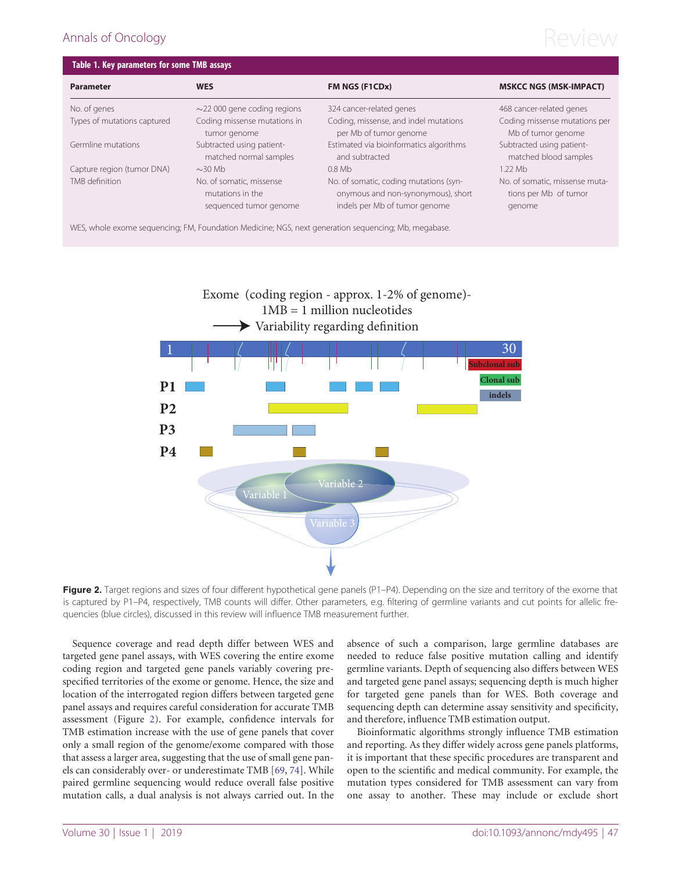# <span id="page-3-0"></span>Annals of Oncology  $\mathsf{Review}$

| Table 1. Key parameters for some TMB assays |                                                                        |                                                                                                               |                                                                   |  |
|---------------------------------------------|------------------------------------------------------------------------|---------------------------------------------------------------------------------------------------------------|-------------------------------------------------------------------|--|
| <b>Parameter</b>                            | <b>WES</b>                                                             | FM NGS (F1CDx)                                                                                                | <b>MSKCC NGS (MSK-IMPACT)</b>                                     |  |
| No. of genes                                | $\sim$ 22 000 gene coding regions                                      | 324 cancer-related genes                                                                                      | 468 cancer-related genes                                          |  |
| Types of mutations captured                 | Coding missense mutations in<br>tumor genome                           | Coding, missense, and indel mutations<br>per Mb of tumor genome                                               | Coding missense mutations per<br>Mb of tumor genome               |  |
| Germline mutations                          | Subtracted using patient-<br>matched normal samples                    | Estimated via bioinformatics algorithms<br>and subtracted                                                     | Subtracted using patient-<br>matched blood samples                |  |
| Capture region (tumor DNA)                  | $\sim$ 30 Mb                                                           | $0.8$ Mb                                                                                                      | 1.22 Mb                                                           |  |
| TMB definition                              | No. of somatic, missense<br>mutations in the<br>sequenced tumor genome | No. of somatic, coding mutations (syn-<br>onymous and non-synonymous), short<br>indels per Mb of tumor genome | No. of somatic, missense muta-<br>tions per Mb of tumor<br>genome |  |

WES, whole exome sequencing; FM, Foundation Medicine; NGS, next generation sequencing; Mb, megabase.



Figure 2. Target regions and sizes of four different hypothetical gene panels (P1-P4). Depending on the size and territory of the exome that is captured by P1–P4, respectively, TMB counts will differ. Other parameters, e.g. filtering of germline variants and cut points for allelic frequencies (blue circles), discussed in this review will influence TMB measurement further.

Sequence coverage and read depth differ between WES and targeted gene panel assays, with WES covering the entire exome coding region and targeted gene panels variably covering prespecified territories of the exome or genome. Hence, the size and location of the interrogated region differs between targeted gene panel assays and requires careful consideration for accurate TMB assessment (Figure 2). For example, confidence intervals for TMB estimation increase with the use of gene panels that cover only a small region of the genome/exome compared with those that assess a larger area, suggesting that the use of small gene panels can considerably over- or underestimate TMB [\[69](#page-11-0), [74](#page-11-0)]. While paired germline sequencing would reduce overall false positive mutation calls, a dual analysis is not always carried out. In the

absence of such a comparison, large germline databases are needed to reduce false positive mutation calling and identify germline variants. Depth of sequencing also differs between WES and targeted gene panel assays; sequencing depth is much higher for targeted gene panels than for WES. Both coverage and sequencing depth can determine assay sensitivity and specificity, and therefore, influence TMB estimation output.

Bioinformatic algorithms strongly influence TMB estimation and reporting. As they differ widely across gene panels platforms, it is important that these specific procedures are transparent and open to the scientific and medical community. For example, the mutation types considered for TMB assessment can vary from one assay to another. These may include or exclude short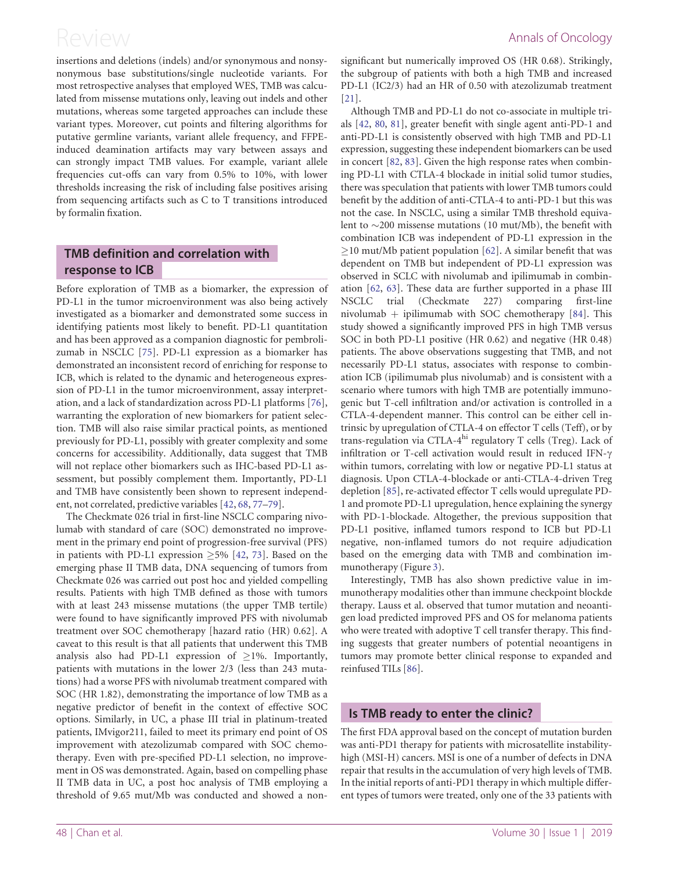<span id="page-4-0"></span>insertions and deletions (indels) and/or synonymous and nonsynonymous base substitutions/single nucleotide variants. For most retrospective analyses that employed WES, TMB was calculated from missense mutations only, leaving out indels and other mutations, whereas some targeted approaches can include these variant types. Moreover, cut points and filtering algorithms for putative germline variants, variant allele frequency, and FFPEinduced deamination artifacts may vary between assays and can strongly impact TMB values. For example, variant allele frequencies cut-offs can vary from 0.5% to 10%, with lower thresholds increasing the risk of including false positives arising from sequencing artifacts such as C to T transitions introduced by formalin fixation.

## TMB definition and correlation with response to ICB

Before exploration of TMB as a biomarker, the expression of PD-L1 in the tumor microenvironment was also being actively investigated as a biomarker and demonstrated some success in identifying patients most likely to benefit. PD-L1 quantitation and has been approved as a companion diagnostic for pembrolizumab in NSCLC [\[75](#page-11-0)]. PD-L1 expression as a biomarker has demonstrated an inconsistent record of enriching for response to ICB, which is related to the dynamic and heterogeneous expression of PD-L1 in the tumor microenvironment, assay interpretation, and a lack of standardization across PD-L1 platforms [\[76](#page-11-0)], warranting the exploration of new biomarkers for patient selection. TMB will also raise similar practical points, as mentioned previously for PD-L1, possibly with greater complexity and some concerns for accessibility. Additionally, data suggest that TMB will not replace other biomarkers such as IHC-based PD-L1 assessment, but possibly complement them. Importantly, PD-L1 and TMB have consistently been shown to represent independent, not correlated, predictive variables [[42](#page-10-0), [68](#page-11-0), [77–79](#page-11-0)].

The Checkmate 026 trial in first-line NSCLC comparing nivolumab with standard of care (SOC) demonstrated no improvement in the primary end point of progression-free survival (PFS) in patients with PD-L1 expression  $\geq$ 5% [\[42](#page-10-0), [73\]](#page-11-0). Based on the emerging phase II TMB data, DNA sequencing of tumors from Checkmate 026 was carried out post hoc and yielded compelling results. Patients with high TMB defined as those with tumors with at least 243 missense mutations (the upper TMB tertile) were found to have significantly improved PFS with nivolumab treatment over SOC chemotherapy [hazard ratio (HR) 0.62]. A caveat to this result is that all patients that underwent this TMB analysis also had PD-L1 expression of  $>1\%$ . Importantly, patients with mutations in the lower 2/3 (less than 243 mutations) had a worse PFS with nivolumab treatment compared with SOC (HR 1.82), demonstrating the importance of low TMB as a negative predictor of benefit in the context of effective SOC options. Similarly, in UC, a phase III trial in platinum-treated patients, IMvigor211, failed to meet its primary end point of OS improvement with atezolizumab compared with SOC chemotherapy. Even with pre-specified PD-L1 selection, no improvement in OS was demonstrated. Again, based on compelling phase II TMB data in UC, a post hoc analysis of TMB employing a threshold of 9.65 mut/Mb was conducted and showed a nonsignificant but numerically improved OS (HR 0.68). Strikingly, the subgroup of patients with both a high TMB and increased PD-L1 (IC2/3) had an HR of 0.50 with atezolizumab treatment [[21](#page-10-0)].

Although TMB and PD-L1 do not co-associate in multiple trials [[42,](#page-10-0) [80](#page-11-0), [81\]](#page-11-0), greater benefit with single agent anti-PD-1 and anti-PD-L1 is consistently observed with high TMB and PD-L1 expression, suggesting these independent biomarkers can be used in concert [[82,](#page-11-0) [83\]](#page-11-0). Given the high response rates when combining PD-L1 with CTLA-4 blockade in initial solid tumor studies, there was speculation that patients with lower TMB tumors could benefit by the addition of anti-CTLA-4 to anti-PD-1 but this was not the case. In NSCLC, using a similar TMB threshold equivalent to  $\sim$ 200 missense mutations (10 mut/Mb), the benefit with combination ICB was independent of PD-L1 expression in the  $\geq$ 10 mut/Mb patient population [[62\]](#page-11-0). A similar benefit that was dependent on TMB but independent of PD-L1 expression was observed in SCLC with nivolumab and ipilimumab in combination [\[62](#page-11-0), [63](#page-11-0)]. These data are further supported in a phase III NSCLC trial (Checkmate 227) comparing first-line nivolumab  $+$  ipilimumab with SOC chemotherapy [[84](#page-11-0)]. This study showed a significantly improved PFS in high TMB versus SOC in both PD-L1 positive (HR 0.62) and negative (HR 0.48) patients. The above observations suggesting that TMB, and not necessarily PD-L1 status, associates with response to combination ICB (ipilimumab plus nivolumab) and is consistent with a scenario where tumors with high TMB are potentially immunogenic but T-cell infiltration and/or activation is controlled in a CTLA-4-dependent manner. This control can be either cell intrinsic by upregulation of CTLA-4 on effector T cells (Teff), or by trans-regulation via CTLA-4hi regulatory T cells (Treg). Lack of infiltration or T-cell activation would result in reduced IFN- $\gamma$ within tumors, correlating with low or negative PD-L1 status at diagnosis. Upon CTLA-4-blockade or anti-CTLA-4-driven Treg depletion [[85](#page-12-0)], re-activated effector T cells would upregulate PD-1 and promote PD-L1 upregulation, hence explaining the synergy with PD-1-blockade. Altogether, the previous supposition that PD-L1 positive, inflamed tumors respond to ICB but PD-L1 negative, non-inflamed tumors do not require adjudication based on the emerging data with TMB and combination immunotherapy (Figure [3](#page-5-0)).

Interestingly, TMB has also shown predictive value in immunotherapy modalities other than immune checkpoint blockde therapy. Lauss et al. observed that tumor mutation and neoantigen load predicted improved PFS and OS for melanoma patients who were treated with adoptive T cell transfer therapy. This finding suggests that greater numbers of potential neoantigens in tumors may promote better clinical response to expanded and reinfused TILs [\[86](#page-12-0)].

### Is TMB ready to enter the clinic?

The first FDA approval based on the concept of mutation burden was anti-PD1 therapy for patients with microsatellite instabilityhigh (MSI-H) cancers. MSI is one of a number of defects in DNA repair that results in the accumulation of very high levels of TMB. In the initial reports of anti-PD1 therapy in which multiple different types of tumors were treated, only one of the 33 patients with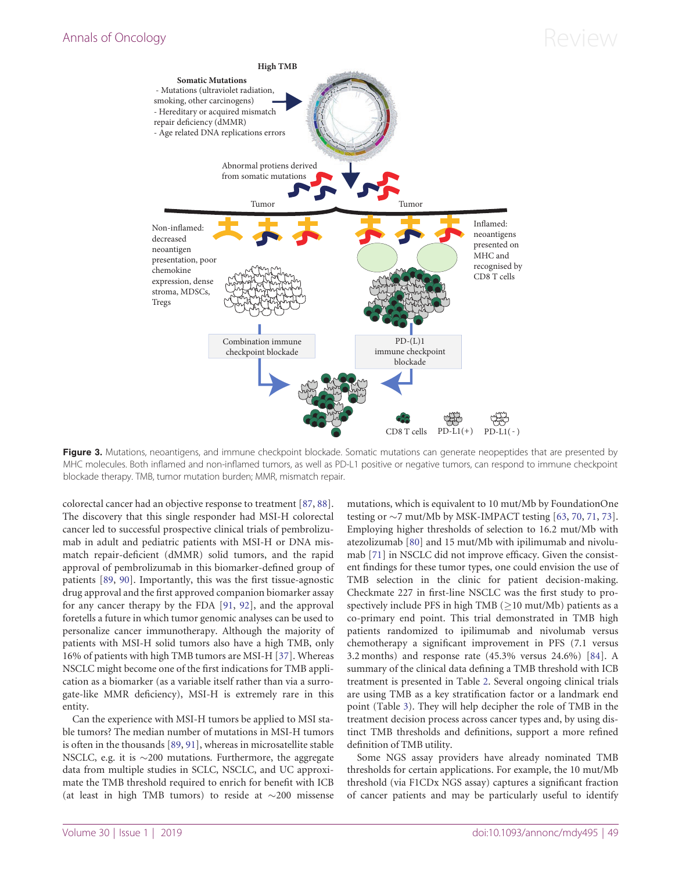<span id="page-5-0"></span>

Figure 3. Mutations, neoantigens, and immune checkpoint blockade. Somatic mutations can generate neopeptides that are presented by MHC molecules. Both inflamed and non-inflamed tumors, as well as PD-L1 positive or negative tumors, can respond to immune checkpoint blockade therapy. TMB, tumor mutation burden; MMR, mismatch repair.

colorectal cancer had an objective response to treatment [[87,](#page-12-0) [88](#page-12-0)]. The discovery that this single responder had MSI-H colorectal cancer led to successful prospective clinical trials of pembrolizumab in adult and pediatric patients with MSI-H or DNA mismatch repair-deficient (dMMR) solid tumors, and the rapid approval of pembrolizumab in this biomarker-defined group of patients [[89,](#page-12-0) [90\]](#page-12-0). Importantly, this was the first tissue-agnostic drug approval and the first approved companion biomarker assay for any cancer therapy by the FDA [[91,](#page-12-0) [92\]](#page-12-0), and the approval foretells a future in which tumor genomic analyses can be used to personalize cancer immunotherapy. Although the majority of patients with MSI-H solid tumors also have a high TMB, only 16% of patients with high TMB tumors are MSI-H [\[37](#page-10-0)]. Whereas NSCLC might become one of the first indications for TMB application as a biomarker (as a variable itself rather than via a surrogate-like MMR deficiency), MSI-H is extremely rare in this entity.

Can the experience with MSI-H tumors be applied to MSI stable tumors? The median number of mutations in MSI-H tumors is often in the thousands [\[89](#page-12-0), [91\]](#page-12-0), whereas in microsatellite stable NSCLC, e.g. it is  ${\sim}200$  mutations. Furthermore, the aggregate data from multiple studies in SCLC, NSCLC, and UC approximate the TMB threshold required to enrich for benefit with ICB (at least in high TMB tumors) to reside at  $\sim$ 200 missense

mutations, which is equivalent to 10 mut/Mb by FoundationOne testing or  $\sim$ 7 mut/Mb by MSK-IMPACT testing [\[63](#page-11-0), [70](#page-11-0), [71,](#page-11-0) [73](#page-11-0)]. Employing higher thresholds of selection to 16.2 mut/Mb with atezolizumab [[80\]](#page-11-0) and 15 mut/Mb with ipilimumab and nivolumab [[71\]](#page-11-0) in NSCLC did not improve efficacy. Given the consistent findings for these tumor types, one could envision the use of TMB selection in the clinic for patient decision-making. Checkmate 227 in first-line NSCLC was the first study to prospectively include PFS in high TMB ( $\geq$ 10 mut/Mb) patients as a co-primary end point. This trial demonstrated in TMB high patients randomized to ipilimumab and nivolumab versus chemotherapy a significant improvement in PFS (7.1 versus 3.2 months) and response rate (45.3% versus 24.6%) [[84\]](#page-11-0). A summary of the clinical data defining a TMB threshold with ICB treatment is presented in Table [2](#page-6-0). Several ongoing clinical trials are using TMB as a key stratification factor or a landmark end point (Table [3\)](#page-8-0). They will help decipher the role of TMB in the treatment decision process across cancer types and, by using distinct TMB thresholds and definitions, support a more refined definition of TMB utility.

Some NGS assay providers have already nominated TMB thresholds for certain applications. For example, the 10 mut/Mb threshold (via F1CDx NGS assay) captures a significant fraction of cancer patients and may be particularly useful to identify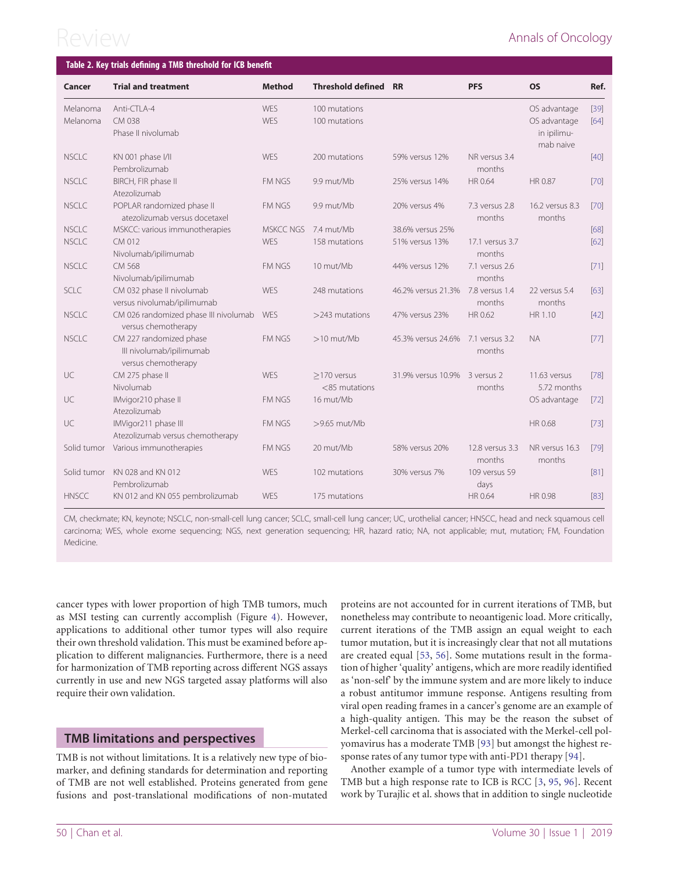<span id="page-6-0"></span>

| Table 2. Key trials defining a TMB threshold for ICB benefit |                                                                            |                          |                                   |                                   |                           |                                                          |                |
|--------------------------------------------------------------|----------------------------------------------------------------------------|--------------------------|-----------------------------------|-----------------------------------|---------------------------|----------------------------------------------------------|----------------|
| Cancer                                                       | <b>Trial and treatment</b>                                                 | <b>Method</b>            | <b>Threshold defined RR</b>       |                                   | <b>PFS</b>                | <b>OS</b>                                                | Ref.           |
| Melanoma<br>Melanoma                                         | Anti-CTLA-4<br>CM 038<br>Phase II nivolumab                                | <b>WES</b><br><b>WES</b> | 100 mutations<br>100 mutations    |                                   |                           | OS advantage<br>OS advantage<br>in ipilimu-<br>mab naive | $[39]$<br>[64] |
| <b>NSCLC</b>                                                 | KN 001 phase I/II<br>Pembrolizumab                                         | <b>WES</b>               | 200 mutations                     | 59% versus 12%                    | NR versus 3.4<br>months   |                                                          | $[40]$         |
| <b>NSCLC</b>                                                 | BIRCH, FIR phase II<br>Atezolizumab                                        | <b>FM NGS</b>            | 9.9 mut/Mb                        | 25% versus 14%                    | HR 0.64                   | HR 0.87                                                  | $[70]$         |
| <b>NSCLC</b>                                                 | POPLAR randomized phase II<br>atezolizumab versus docetaxel                | FM NGS                   | 9.9 mut/Mb                        | 20% versus 4%                     | 7.3 versus 2.8<br>months  | 16.2 versus 8.3<br>months                                | [70]           |
| <b>NSCLC</b>                                                 | MSKCC: various immunotherapies                                             | <b>MSKCC NGS</b>         | 7.4 mut/Mb                        | 38.6% versus 25%                  |                           |                                                          | [68]           |
| <b>NSCLC</b>                                                 | CM 012<br>Nivolumab/ipilimumab                                             | <b>WES</b>               | 158 mutations                     | 51% versus 13%                    | 17.1 versus 3.7<br>months |                                                          | [62]           |
| <b>NSCLC</b>                                                 | CM 568<br>Nivolumab/ipilimumab                                             | <b>FM NGS</b>            | 10 mut/Mb                         | 44% versus 12%                    | 7.1 versus 2.6<br>months  |                                                          | $[71]$         |
| SCLC                                                         | CM 032 phase II nivolumab<br>versus nivolumab/ipilimumab                   | <b>WES</b>               | 248 mutations                     | 46.2% versus 21.3% 7.8 versus 1.4 | months                    | 22 versus 5.4<br>months                                  | [63]           |
| <b>NSCLC</b>                                                 | CM 026 randomized phase III nivolumab<br>versus chemotherapy               | WES                      | $>$ 243 mutations                 | 47% versus 23%                    | HR 0.62                   | HR 1.10                                                  | $[42]$         |
| <b>NSCLC</b>                                                 | CM 227 randomized phase<br>III nivolumab/ipilimumab<br>versus chemotherapy | <b>FM NGS</b>            | $>10$ mut/Mb                      | 45.3% versus 24.6% 7.1 versus 3.2 | months                    | <b>NA</b>                                                | $[77]$         |
| UC                                                           | CM 275 phase II<br>Nivolumab                                               | WES                      | $>170$ versus<br>$<$ 85 mutations | 31.9% versus 10.9% 3 versus 2     | months                    | 11.63 versus<br>5.72 months                              | [78]           |
| UC                                                           | IMvigor210 phase II<br>Atezolizumab                                        | FM NGS                   | 16 mut/Mb                         |                                   |                           | OS advantage                                             | $[72]$         |
| UC                                                           | IMVigor211 phase III<br>Atezolizumab versus chemotherapy                   | FM NGS                   | >9.65 mut/Mb                      |                                   |                           | HR 0.68                                                  | $[73]$         |
| Solid tumor                                                  | Various immunotherapies                                                    | FM NGS                   | 20 mut/Mb                         | 58% versus 20%                    | 12.8 versus 3.3<br>months | NR versus 16.3<br>months                                 | $[79]$         |
| Solid tumor                                                  | KN 028 and KN 012<br>Pembrolizumab                                         | WES                      | 102 mutations                     | 30% versus 7%                     | 109 versus 59<br>days     |                                                          | $[81]$         |
| <b>HNSCC</b>                                                 | KN 012 and KN 055 pembrolizumab                                            | WES                      | 175 mutations                     |                                   | HR 0.64                   | HR 0.98                                                  | $[83]$         |

CM, checkmate; KN, keynote; NSCLC, non-small-cell lung cancer; SCLC, small-cell lung cancer; UC, urothelial cancer; HNSCC, head and neck squamous cell carcinoma; WES, whole exome sequencing; NGS, next generation sequencing; HR, hazard ratio; NA, not applicable; mut, mutation; FM, Foundation Medicine.

cancer types with lower proportion of high TMB tumors, much as MSI testing can currently accomplish (Figure [4\)](#page-7-0). However, applications to additional other tumor types will also require their own threshold validation. This must be examined before application to different malignancies. Furthermore, there is a need for harmonization of TMB reporting across different NGS assays currently in use and new NGS targeted assay platforms will also require their own validation.

### TMB limitations and perspectives

TMB is not without limitations. It is a relatively new type of biomarker, and defining standards for determination and reporting of TMB are not well established. Proteins generated from gene fusions and post-translational modifications of non-mutated

proteins are not accounted for in current iterations of TMB, but nonetheless may contribute to neoantigenic load. More critically, current iterations of the TMB assign an equal weight to each tumor mutation, but it is increasingly clear that not all mutations are created equal [\[53](#page-11-0), [56](#page-11-0)]. Some mutations result in the formation of higher 'quality' antigens, which are more readily identified as 'non-self' by the immune system and are more likely to induce a robust antitumor immune response. Antigens resulting from viral open reading frames in a cancer's genome are an example of a high-quality antigen. This may be the reason the subset of Merkel-cell carcinoma that is associated with the Merkel-cell polyomavirus has a moderate TMB [\[93\]](#page-12-0) but amongst the highest response rates of any tumor type with anti-PD1 therapy [\[94](#page-12-0)].

Another example of a tumor type with intermediate levels of TMB but a high response rate to ICB is RCC [\[3](#page-10-0), [95](#page-12-0), [96](#page-12-0)]. Recent work by Turajlic et al. shows that in addition to single nucleotide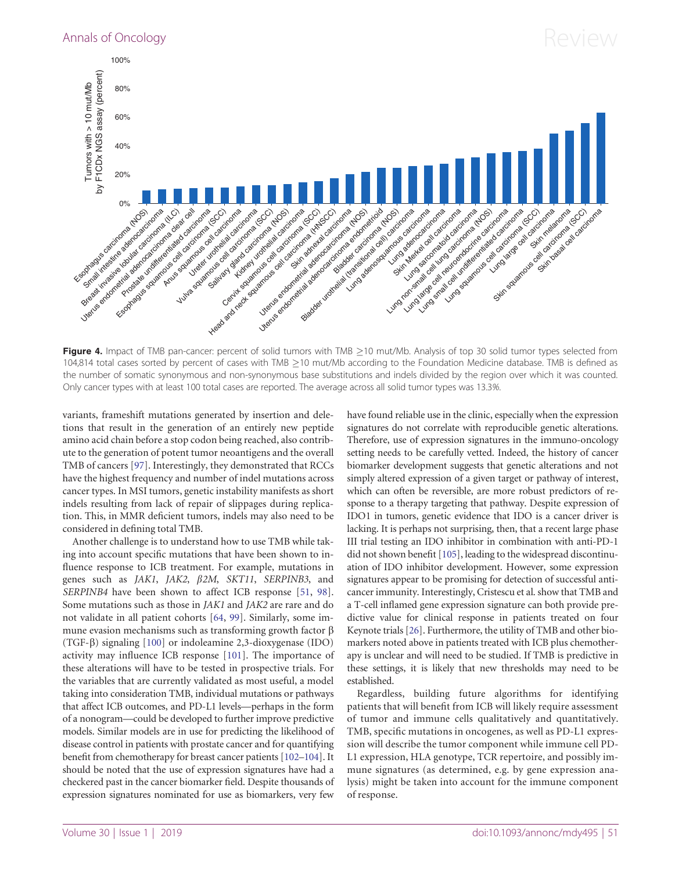<span id="page-7-0"></span>

Figure 4. Impact of TMB pan-cancer: percent of solid tumors with TMB >10 mut/Mb. Analysis of top 30 solid tumor types selected from 104,814 total cases sorted by percent of cases with TMB >10 mut/Mb according to the Foundation Medicine database. TMB is defined as the number of somatic synonymous and non-synonymous base substitutions and indels divided by the region over which it was counted. Only cancer types with at least 100 total cases are reported. The average across all solid tumor types was 13.3%.

variants, frameshift mutations generated by insertion and deletions that result in the generation of an entirely new peptide amino acid chain before a stop codon being reached, also contribute to the generation of potent tumor neoantigens and the overall TMB of cancers [[97\]](#page-12-0). Interestingly, they demonstrated that RCCs have the highest frequency and number of indel mutations across cancer types. In MSI tumors, genetic instability manifests as short indels resulting from lack of repair of slippages during replication. This, in MMR deficient tumors, indels may also need to be considered in defining total TMB.

Another challenge is to understand how to use TMB while taking into account specific mutations that have been shown to influence response to ICB treatment. For example, mutations in genes such as JAK1, JAK2,  $\beta$ 2M, SKT11, SERPINB3, and SERPINB4 have been shown to affect ICB response [\[51](#page-11-0), [98](#page-12-0)]. Some mutations such as those in JAK1 and JAK2 are rare and do not validate in all patient cohorts [[64,](#page-11-0) [99](#page-12-0)]. Similarly, some immune evasion mechanisms such as transforming growth factor  $\beta$ (TGF-b) signaling [[100\]](#page-12-0) or indoleamine 2,3-dioxygenase (IDO) activity may influence ICB response [[101\]](#page-12-0). The importance of these alterations will have to be tested in prospective trials. For the variables that are currently validated as most useful, a model taking into consideration TMB, individual mutations or pathways that affect ICB outcomes, and PD-L1 levels—perhaps in the form of a nonogram—could be developed to further improve predictive models. Similar models are in use for predicting the likelihood of disease control in patients with prostate cancer and for quantifying benefit from chemotherapy for breast cancer patients [\[102–104](#page-12-0)]. It should be noted that the use of expression signatures have had a checkered past in the cancer biomarker field. Despite thousands of expression signatures nominated for use as biomarkers, very few

have found reliable use in the clinic, especially when the expression signatures do not correlate with reproducible genetic alterations. Therefore, use of expression signatures in the immuno-oncology setting needs to be carefully vetted. Indeed, the history of cancer biomarker development suggests that genetic alterations and not simply altered expression of a given target or pathway of interest, which can often be reversible, are more robust predictors of response to a therapy targeting that pathway. Despite expression of IDO1 in tumors, genetic evidence that IDO is a cancer driver is lacking. It is perhaps not surprising, then, that a recent large phase III trial testing an IDO inhibitor in combination with anti-PD-1 did not shown benefit [\[105](#page-12-0)], leading to the widespread discontinuation of IDO inhibitor development. However, some expression signatures appear to be promising for detection of successful anticancer immunity. Interestingly, Cristescu et al. show that TMB and a T-cell inflamed gene expression signature can both provide predictive value for clinical response in patients treated on four Keynote trials [\[26](#page-10-0)]. Furthermore, the utility of TMB and other biomarkers noted above in patients treated with ICB plus chemotherapy is unclear and will need to be studied. If TMB is predictive in these settings, it is likely that new thresholds may need to be established.

Regardless, building future algorithms for identifying patients that will benefit from ICB will likely require assessment of tumor and immune cells qualitatively and quantitatively. TMB, specific mutations in oncogenes, as well as PD-L1 expression will describe the tumor component while immune cell PD-L1 expression, HLA genotype, TCR repertoire, and possibly immune signatures (as determined, e.g. by gene expression analysis) might be taken into account for the immune component of response.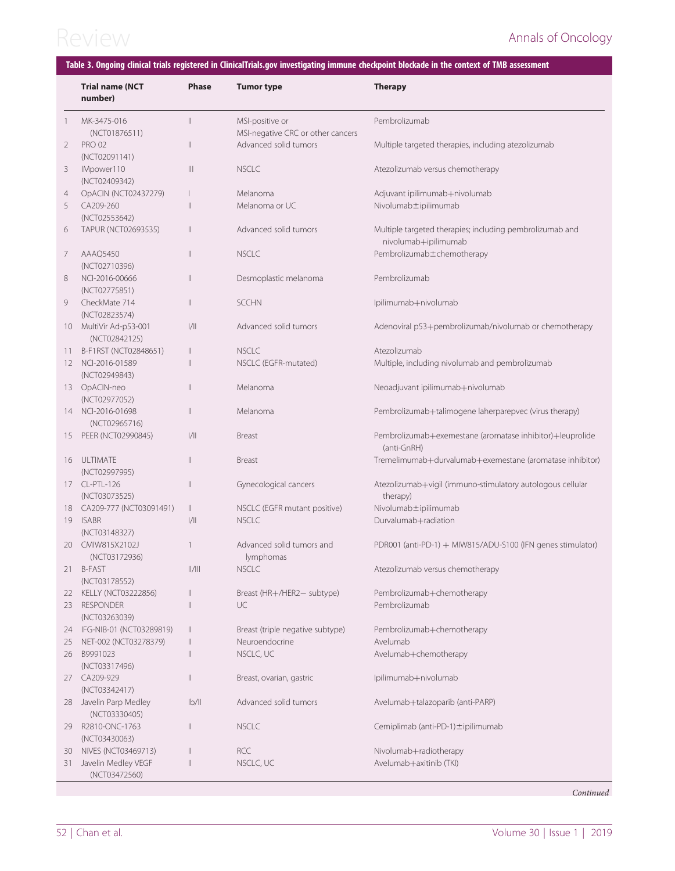### <span id="page-8-0"></span>Table 3. Ongoing clinical trials registered in ClinicalTrials.gov investigating immune checkpoint blockade in the context of TMB assessment

|                | <b>Trial name (NCT</b><br>number)    | <b>Phase</b>                                                              | <b>Tumor type</b>                                    | <b>Therapy</b>                                                                   |
|----------------|--------------------------------------|---------------------------------------------------------------------------|------------------------------------------------------|----------------------------------------------------------------------------------|
| -1             | MK-3475-016<br>(NCT01876511)         | $\mathbb{I}$                                                              | MSI-positive or<br>MSI-negative CRC or other cancers | Pembrolizumab                                                                    |
| 2              | <b>PRO 02</b><br>(NCT02091141)       | $\mathbb{I}$                                                              | Advanced solid tumors                                | Multiple targeted therapies, including atezolizumab                              |
| 3              | IMpower110<br>(NCT02409342)          | $\mathbb{H}$                                                              | <b>NSCLC</b>                                         | Atezolizumab versus chemotherapy                                                 |
| $\overline{4}$ | OpACIN (NCT02437279)                 | $\mathbf{I}$                                                              | Melanoma                                             | Adjuvant ipilimumab+nivolumab                                                    |
| 5              | CA209-260                            | $\mathbb{I}$                                                              | Melanoma or UC                                       | Nivolumab±ipilimumab                                                             |
|                | (NCT02553642)                        |                                                                           |                                                      |                                                                                  |
| 6              | TAPUR (NCT02693535)                  | $\mathbb{I}$                                                              | Advanced solid tumors                                | Multiple targeted therapies; including pembrolizumab and<br>nivolumab+ipilimumab |
| 7              | AAAQ5450<br>(NCT02710396)            | $\mathbf{  }$                                                             | <b>NSCLC</b>                                         | Pembrolizumab±chemotherapy                                                       |
| 8              | NCI-2016-00666<br>(NCT02775851)      | $\mathbb{I}$                                                              | Desmoplastic melanoma                                | Pembrolizumab                                                                    |
| 9              | CheckMate 714<br>(NCT02823574)       | $\mathbb{I}$                                                              | <b>SCCHN</b>                                         | Ipilimumab+nivolumab                                                             |
| 10             | MultiVir Ad-p53-001<br>(NCT02842125) | 1/11                                                                      | Advanced solid tumors                                | Adenoviral p53+pembrolizumab/nivolumab or chemotherapy                           |
| 11.            | B-F1RST (NCT02848651)                | $\mathbb{I}$                                                              | <b>NSCLC</b>                                         | Atezolizumab                                                                     |
|                | 12 NCI-2016-01589                    | $\mathbb{I}$                                                              | NSCLC (EGFR-mutated)                                 | Multiple, including nivolumab and pembrolizumab                                  |
|                | (NCT02949843)                        |                                                                           |                                                      |                                                                                  |
|                | 13 OpACIN-neo<br>(NCT02977052)       | $\mathbb{I}$                                                              | Melanoma                                             | Neoadjuvant ipilimumab+nivolumab                                                 |
| 14             | NCI-2016-01698<br>(NCT02965716)      | $\mathbb{I}$                                                              | Melanoma                                             | Pembrolizumab+talimogene laherparepvec (virus therapy)                           |
| 15             | PEER (NCT02990845)                   | 1/11                                                                      | <b>Breast</b>                                        | Pembrolizumab+exemestane (aromatase inhibitor)+leuprolide<br>(anti-GnRH)         |
|                | 16 ULTIMATE<br>(NCT02997995)         | $\mathbb{I}$                                                              | Breast                                               | Tremelimumab+durvalumab+exemestane (aromatase inhibitor)                         |
|                | 17 CL-PTL-126<br>(NCT03073525)       | $\mathbb{I}$                                                              | Gynecological cancers                                | Atezolizumab+vigil (immuno-stimulatory autologous cellular<br>therapy)           |
|                | 18 CA209-777 (NCT03091491)           | $\parallel$                                                               | NSCLC (EGFR mutant positive)                         | Nivolumab±ipilimumab                                                             |
|                | 19 ISABR<br>(NCT03148327)            | 1/11                                                                      | NSCLC.                                               | Durvalumab+radiation                                                             |
| 20             | CMIW815X2102J<br>(NCT03172936)       | $\mathbf{1}$                                                              | Advanced solid tumors and<br>lymphomas               | PDR001 (anti-PD-1) + MIW815/ADU-S100 (IFN genes stimulator)                      |
| 21             | <b>B-FAST</b><br>(NCT03178552)       | $  /   $                                                                  | <b>NSCLC</b>                                         | Atezolizumab versus chemotherapy                                                 |
| 22             | <b>KELLY (NCT03222856)</b>           | $\parallel$                                                               | Breast (HR+/HER2- subtype)                           | Pembrolizumab+chemotherapy                                                       |
| 23             | <b>RESPONDER</b>                     | $\mathbb{I}$                                                              | UC                                                   | Pembrolizumab                                                                    |
|                | (NCT03263039)                        |                                                                           |                                                      |                                                                                  |
| 24             | IFG-NIB-01 (NCT03289819)             | $\parallel$                                                               | Breast (triple negative subtype)                     | Pembrolizumab+chemotherapy                                                       |
| 25             | NET-002 (NCT03278379)                | $\parallel$                                                               | Neuroendocrine                                       | Avelumab                                                                         |
| 26             | B9991023<br>(NCT03317496)            | $\mathbb{I}$                                                              | NSCLC, UC                                            | Avelumab+chemotherapy                                                            |
| 27             | CA209-929                            | $\label{eq:1} \prod_{i=1}^n \left\{ \prod_{i=1}^n \frac{1}{n_i} \right\}$ | Breast, ovarian, gastric                             | Ipilimumab+nivolumab                                                             |
| 28             | (NCT03342417)<br>Javelin Parp Medley | $\frac{1}{2}$                                                             | Advanced solid tumors                                | Avelumab+talazoparib (anti-PARP)                                                 |
| 29             | (NCT03330405)<br>R2810-ONC-1763      | $\mathbb{I}$                                                              | <b>NSCLC</b>                                         | Cemiplimab (anti-PD-1) ±ipilimumab                                               |
|                | (NCT03430063)                        |                                                                           |                                                      |                                                                                  |
| 30             | NIVES (NCT03469713)                  | $\parallel$                                                               | <b>RCC</b>                                           | Nivolumab+radiotherapy                                                           |
| 31             | Javelin Medley VEGF<br>(NCT03472560) | $\mid \; \mid$                                                            | NSCLC, UC                                            | Avelumab+axitinib (TKI)                                                          |

Continued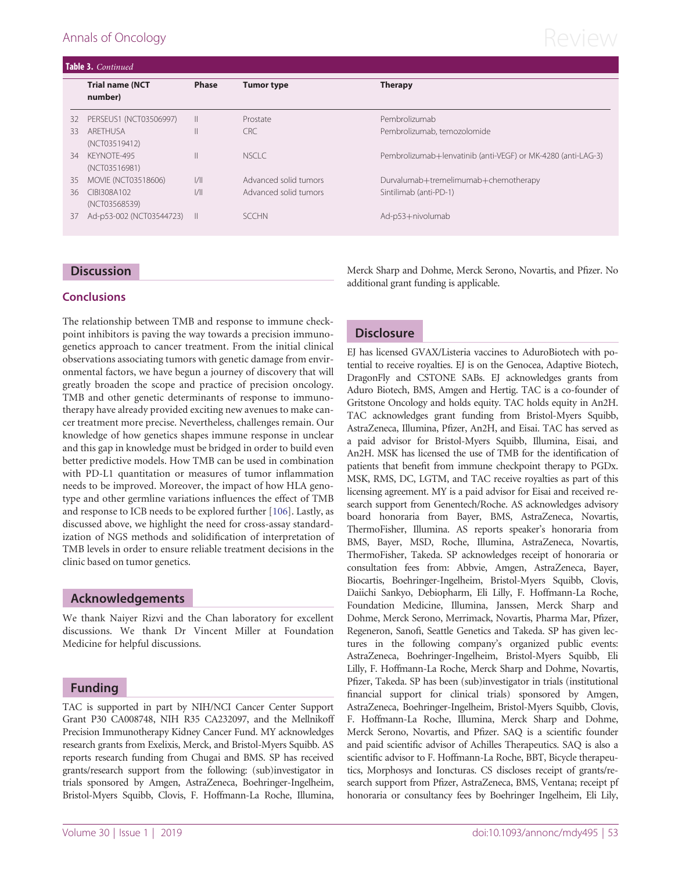# <span id="page-9-0"></span>Annals of Oncology  $\mathsf{Review}$

| Table 3. Continued |                                   |               |                       |                                                              |
|--------------------|-----------------------------------|---------------|-----------------------|--------------------------------------------------------------|
|                    | <b>Trial name (NCT</b><br>number) | <b>Phase</b>  | <b>Tumor type</b>     | <b>Therapy</b>                                               |
| 32                 | PERSEUS1 (NCT03506997)            | $\mathbb{I}$  | Prostate              | Pembrolizumab                                                |
| 33                 | ARFTHUSA<br>(NCT03519412)         | $\mathsf{II}$ | CRC                   | Pembrolizumab, temozolomide                                  |
| 34                 | KFYNOTF-495<br>(NCT03516981)      | Ш             | NSCLC.                | Pembrolizumab+lenvatinib (anti-VEGF) or MK-4280 (anti-LAG-3) |
| 35                 | <b>MOVIE (NCT03518606)</b>        | 1/            | Advanced solid tumors | Durvalumab+tremelimumab+chemotherapy                         |
| 36                 | CIBI308A102<br>(NCT03568539)      | 1/            | Advanced solid tumors | Sintilimab (anti-PD-1)                                       |
| 37                 | Ad-p53-002 (NCT03544723) II       |               | <b>SCCHN</b>          | Ad-p53+nivolumab                                             |
|                    |                                   |               |                       |                                                              |

#### **Discussion**

#### **Conclusions**

The relationship between TMB and response to immune checkpoint inhibitors is paving the way towards a precision immunogenetics approach to cancer treatment. From the initial clinical observations associating tumors with genetic damage from environmental factors, we have begun a journey of discovery that will greatly broaden the scope and practice of precision oncology. TMB and other genetic determinants of response to immunotherapy have already provided exciting new avenues to make cancer treatment more precise. Nevertheless, challenges remain. Our knowledge of how genetics shapes immune response in unclear and this gap in knowledge must be bridged in order to build even better predictive models. How TMB can be used in combination with PD-L1 quantitation or measures of tumor inflammation needs to be improved. Moreover, the impact of how HLA genotype and other germline variations influences the effect of TMB and response to ICB needs to be explored further [\[106](#page-12-0)]. Lastly, as discussed above, we highlight the need for cross-assay standardization of NGS methods and solidification of interpretation of TMB levels in order to ensure reliable treatment decisions in the clinic based on tumor genetics.

#### Acknowledgements

We thank Naiyer Rizvi and the Chan laboratory for excellent discussions. We thank Dr Vincent Miller at Foundation Medicine for helpful discussions.

#### Funding

TAC is supported in part by NIH/NCI Cancer Center Support Grant P30 CA008748, NIH R35 CA232097, and the Mellnikoff Precision Immunotherapy Kidney Cancer Fund. MY acknowledges research grants from Exelixis, Merck, and Bristol-Myers Squibb. AS reports research funding from Chugai and BMS. SP has received grants/research support from the following: (sub)investigator in trials sponsored by Amgen, AstraZeneca, Boehringer-Ingelheim, Bristol-Myers Squibb, Clovis, F. Hoffmann-La Roche, Illumina, Merck Sharp and Dohme, Merck Serono, Novartis, and Pfizer. No additional grant funding is applicable.

### **Disclosure**

EJ has licensed GVAX/Listeria vaccines to AduroBiotech with potential to receive royalties. EJ is on the Genocea, Adaptive Biotech, DragonFly and CSTONE SABs. EJ acknowledges grants from Aduro Biotech, BMS, Amgen and Hertig. TAC is a co-founder of Gritstone Oncology and holds equity. TAC holds equity in An2H. TAC acknowledges grant funding from Bristol-Myers Squibb, AstraZeneca, Illumina, Pfizer, An2H, and Eisai. TAC has served as a paid advisor for Bristol-Myers Squibb, Illumina, Eisai, and An2H. MSK has licensed the use of TMB for the identification of patients that benefit from immune checkpoint therapy to PGDx. MSK, RMS, DC, LGTM, and TAC receive royalties as part of this licensing agreement. MY is a paid advisor for Eisai and received research support from Genentech/Roche. AS acknowledges advisory board honoraria from Bayer, BMS, AstraZeneca, Novartis, ThermoFisher, Illumina. AS reports speaker's honoraria from BMS, Bayer, MSD, Roche, Illumina, AstraZeneca, Novartis, ThermoFisher, Takeda. SP acknowledges receipt of honoraria or consultation fees from: Abbvie, Amgen, AstraZeneca, Bayer, Biocartis, Boehringer-Ingelheim, Bristol-Myers Squibb, Clovis, Daiichi Sankyo, Debiopharm, Eli Lilly, F. Hoffmann-La Roche, Foundation Medicine, Illumina, Janssen, Merck Sharp and Dohme, Merck Serono, Merrimack, Novartis, Pharma Mar, Pfizer, Regeneron, Sanofi, Seattle Genetics and Takeda. SP has given lectures in the following company's organized public events: AstraZeneca, Boehringer-Ingelheim, Bristol-Myers Squibb, Eli Lilly, F. Hoffmann-La Roche, Merck Sharp and Dohme, Novartis, Pfizer, Takeda. SP has been (sub)investigator in trials (institutional financial support for clinical trials) sponsored by Amgen, AstraZeneca, Boehringer-Ingelheim, Bristol-Myers Squibb, Clovis, F. Hoffmann-La Roche, Illumina, Merck Sharp and Dohme, Merck Serono, Novartis, and Pfizer. SAQ is a scientific founder and paid scientific advisor of Achilles Therapeutics. SAQ is also a scientific advisor to F. Hoffmann-La Roche, BBT, Bicycle therapeutics, Morphosys and Ioncturas. CS discloses receipt of grants/research support from Pfizer, AstraZeneca, BMS, Ventana; receipt pf honoraria or consultancy fees by Boehringer Ingelheim, Eli Lily,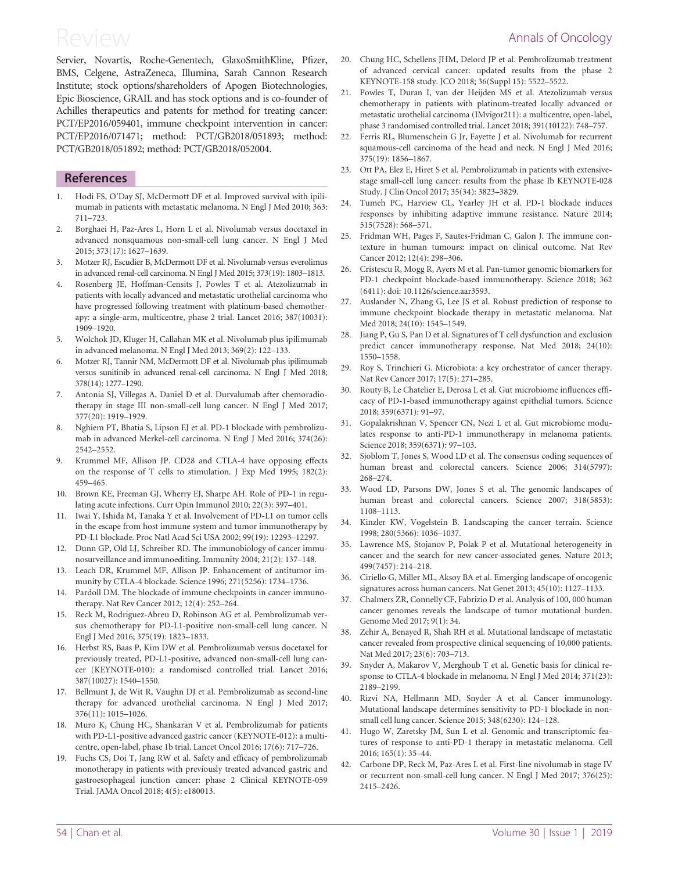<span id="page-10-0"></span>Servier, Novartis, Roche-Genentech, GlaxoSmithKline, Pfizer, BMS, Celgene, AstraZeneca, Illumina, Sarah Cannon Research Institute; stock options/shareholders of Apogen Biotechnologies, Epic Bioscience, GRAIL and has stock options and is co-founder of Achilles therapeutics and patents for method for treating cancer: PCT/EP2016/059401, immune checkpoint intervention in cancer: PCT/EP2016/071471; method: PCT/GB2018/051893; method: PCT/GB2018/051892; method: PCT/GB2018/052004.

#### **References**

- 1. Hodi FS, O'Day SJ, McDermott DF et al. Improved survival with ipilimumab in patients with metastatic melanoma. N Engl J Med 2010; 363: 711–723.
- 2. Borghaei H, Paz-Ares L, Horn L et al. Nivolumab versus docetaxel in advanced nonsquamous non-small-cell lung cancer. N Engl J Med 2015; 373(17): 1627–1639.
- [3.](#page-6-0) Motzer RJ, Escudier B, McDermott DF et al. Nivolumab versus everolimus in advanced renal-cell carcinoma. N Engl J Med 2015; 373(19): 1803–1813.
- [4.](#page-2-0) Rosenberg JE, Hoffman-Censits J, Powles T et al. Atezolizumab in patients with locally advanced and metastatic urothelial carcinoma who have progressed following treatment with platinum-based chemotherapy: a single-arm, multicentre, phase 2 trial. Lancet 2016; 387(10031): 1909–1920.
- 5. Wolchok JD, Kluger H, Callahan MK et al. Nivolumab plus ipilimumab in advanced melanoma. N Engl J Med 2013; 369(2): 122–133.
- 6. Motzer RJ, Tannir NM, McDermott DF et al. Nivolumab plus ipilimumab versus sunitinib in advanced renal-cell carcinoma. N Engl J Med 2018; 378(14): 1277–1290.
- 7. Antonia SJ, Villegas A, Daniel D et al. Durvalumab after chemoradiotherapy in stage III non-small-cell lung cancer. N Engl J Med 2017; 377(20): 1919–1929.
- 8. Nghiem PT, Bhatia S, Lipson EJ et al. PD-1 blockade with pembrolizumab in advanced Merkel-cell carcinoma. N Engl J Med 2016; 374(26): 2542–2552.
- 9. Krummel MF, Allison JP. CD28 and CTLA-4 have opposing effects on the response of T cells to stimulation. J Exp Med 1995; 182(2): 459–465.
- 10. Brown KE, Freeman GJ, Wherry EJ, Sharpe AH. Role of PD-1 in regulating acute infections. Curr Opin Immunol 2010; 22(3): 397–401.
- 11. Iwai Y, Ishida M, Tanaka Y et al. Involvement of PD-L1 on tumor cells in the escape from host immune system and tumor immunotherapy by PD-L1 blockade. Proc Natl Acad Sci USA 2002; 99(19): 12293–12297.
- 12. Dunn GP, Old LJ, Schreiber RD. The immunobiology of cancer immunosurveillance and immunoediting. Immunity 2004; 21(2): 137–148.
- [13.](#page-1-0) Leach DR, Krummel MF, Allison JP. Enhancement of antitumor immunity by CTLA-4 blockade. Science 1996; 271(5256): 1734–1736.
- [14.](#page-1-0) Pardoll DM. The blockade of immune checkpoints in cancer immunotherapy. Nat Rev Cancer 2012; 12(4): 252–264.
- 15. Reck M, Rodriguez-Abreu D, Robinson AG et al. Pembrolizumab versus chemotherapy for PD-L1-positive non-small-cell lung cancer. N Engl J Med 2016; 375(19): 1823–1833.
- 16. Herbst RS, Baas P, Kim DW et al. Pembrolizumab versus docetaxel for previously treated, PD-L1-positive, advanced non-small-cell lung cancer (KEYNOTE-010): a randomised controlled trial. Lancet 2016; 387(10027): 1540–1550.
- 17. Bellmunt J, de Wit R, Vaughn DJ et al. Pembrolizumab as second-line therapy for advanced urothelial carcinoma. N Engl J Med 2017; 376(11): 1015–1026.
- 18. Muro K, Chung HC, Shankaran V et al. Pembrolizumab for patients with PD-L1-positive advanced gastric cancer (KEYNOTE-012): a multicentre, open-label, phase 1b trial. Lancet Oncol 2016; 17(6): 717–726.
- 19. Fuchs CS, Doi T, Jang RW et al. Safety and efficacy of pembrolizumab monotherapy in patients with previously treated advanced gastric and gastroesophageal junction cancer: phase 2 Clinical KEYNOTE-059 Trial. JAMA Oncol 2018; 4(5): e180013.
- 20. Chung HC, Schellens JHM, Delord JP et al. Pembrolizumab treatment of advanced cervical cancer: updated results from the phase 2 KEYNOTE-158 study. JCO 2018; 36(Suppl 15): 5522–5522.
- [21.](#page-4-0) Powles T, Duran I, van der Heijden MS et al. Atezolizumab versus chemotherapy in patients with platinum-treated locally advanced or metastatic urothelial carcinoma (IMvigor211): a multicentre, open-label, phase 3 randomised controlled trial. Lancet 2018; 391(10122): 748–757.
- 22. Ferris RL, Blumenschein G Jr, Fayette J et al. Nivolumab for recurrent squamous-cell carcinoma of the head and neck. N Engl J Med 2016; 375(19): 1856–1867.
- 23. Ott PA, Elez E, Hiret S et al. Pembrolizumab in patients with extensivestage small-cell lung cancer: results from the phase Ib KEYNOTE-028 Study. J Clin Oncol 2017; 35(34): 3823–3829.
- [24.](#page-1-0) Tumeh PC, Harview CL, Yearley JH et al. PD-1 blockade induces responses by inhibiting adaptive immune resistance. Nature 2014; 515(7528): 568–571.
- [25.](#page-1-0) Fridman WH, Pages F, Sautes-Fridman C, Galon J. The immune contexture in human tumours: impact on clinical outcome. Nat Rev Cancer 2012; 12(4): 298–306.
- [26.](#page-1-0) Cristescu R, Mogg R, Ayers M et al. Pan-tumor genomic biomarkers for PD-1 checkpoint blockade-based immunotherapy. Science 2018; 362 (6411): doi: 10.1126/science.aar3593.
- [27.](#page-1-0) Auslander N, Zhang G, Lee JS et al. Robust prediction of response to immune checkpoint blockade therapy in metastatic melanoma. Nat Med 2018; 24(10): 1545–1549.
- [28.](#page-1-0) Jiang P, Gu S, Pan D et al. Signatures of T cell dysfunction and exclusion predict cancer immunotherapy response. Nat Med 2018; 24(10): 1550–1558.
- 29. Roy S, Trinchieri G. Microbiota: a key orchestrator of cancer therapy. Nat Rev Cancer 2017; 17(5): 271–285.
- 30. Routy B, Le Chatelier E, Derosa L et al. Gut microbiome influences efficacy of PD-1-based immunotherapy against epithelial tumors. Science 2018; 359(6371): 91–97.
- 31. Gopalakrishnan V, Spencer CN, Nezi L et al. Gut microbiome modulates response to anti-PD-1 immunotherapy in melanoma patients. Science 2018; 359(6371): 97–103.
- 32. Sjoblom T, Jones S, Wood LD et al. The consensus coding sequences of human breast and colorectal cancers. Science 2006; 314(5797): 268–274.
- 33. Wood LD, Parsons DW, Jones S et al. The genomic landscapes of human breast and colorectal cancers. Science 2007; 318(5853): 1108–1113.
- 34. Kinzler KW, Vogelstein B. Landscaping the cancer terrain. Science 1998; 280(5366): 1036–1037.
- 35. Lawrence MS, Stojanov P, Polak P et al. Mutational heterogeneity in cancer and the search for new cancer-associated genes. Nature 2013; 499(7457): 214–218.
- 36. Ciriello G, Miller ML, Aksoy BA et al. Emerging landscape of oncogenic signatures across human cancers. Nat Genet 2013; 45(10): 1127–1133.
- [37.](#page-1-0) Chalmers ZR, Connelly CF, Fabrizio D et al. Analysis of 100, 000 human cancer genomes reveals the landscape of tumor mutational burden. Genome Med 2017; 9(1): 34.
- [38.](#page-1-0) Zehir A, Benayed R, Shah RH et al. Mutational landscape of metastatic cancer revealed from prospective clinical sequencing of 10,000 patients. Nat Med 2017; 23(6): 703–713.
- [39.](#page-1-0) Snyder A, Makarov V, Merghoub T et al. Genetic basis for clinical response to CTLA-4 blockade in melanoma. N Engl J Med 2014; 371(23): 2189–2199.
- [40.](#page-1-0) Rizvi NA, Hellmann MD, Snyder A et al. Cancer immunology. Mutational landscape determines sensitivity to PD-1 blockade in nonsmall cell lung cancer. Science 2015; 348(6230): 124–128.
- [41.](#page-1-0) Hugo W, Zaretsky JM, Sun L et al. Genomic and transcriptomic features of response to anti-PD-1 therapy in metastatic melanoma. Cell 2016; 165(1): 35–44.
- [42.](#page-4-0) Carbone DP, Reck M, Paz-Ares L et al. First-line nivolumab in stage IV or recurrent non-small-cell lung cancer. N Engl J Med 2017; 376(25): 2415–2426.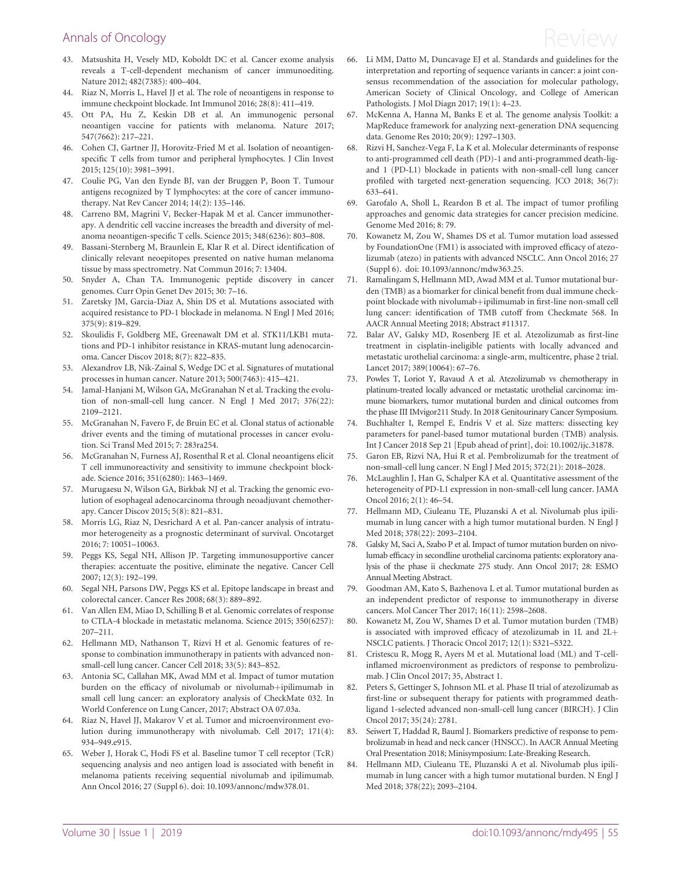# <span id="page-11-0"></span>Annals of Oncology  $\mathsf{Review}$

- 43. Matsushita H, Vesely MD, Koboldt DC et al. Cancer exome analysis reveals a T-cell-dependent mechanism of cancer immunoediting. Nature 2012; 482(7385): 400–404.
- 44. Riaz N, Morris L, Havel JJ et al. The role of neoantigens in response to immune checkpoint blockade. Int Immunol 2016; 28(8): 411–419.
- 45. Ott PA, Hu Z, Keskin DB et al. An immunogenic personal neoantigen vaccine for patients with melanoma. Nature 2017; 547(7662): 217–221.
- 46. Cohen CJ, Gartner JJ, Horovitz-Fried M et al. Isolation of neoantigenspecific T cells from tumor and peripheral lymphocytes. J Clin Invest 2015; 125(10): 3981–3991.
- [47](#page-1-0). Coulie PG, Van den Eynde BJ, van der Bruggen P, Boon T. Tumour antigens recognized by T lymphocytes: at the core of cancer immunotherapy. Nat Rev Cancer 2014; 14(2): 135–146.
- [48](#page-1-0). Carreno BM, Magrini V, Becker-Hapak M et al. Cancer immunotherapy. A dendritic cell vaccine increases the breadth and diversity of melanoma neoantigen-specific T cells. Science 2015; 348(6236): 803–808.
- 49. Bassani-Sternberg M, Braunlein E, Klar R et al. Direct identification of clinically relevant neoepitopes presented on native human melanoma tissue by mass spectrometry. Nat Commun 2016; 7: 13404.
- 50. Snyder A, Chan TA. Immunogenic peptide discovery in cancer genomes. Curr Opin Genet Dev 2015; 30: 7–16.
- [51](#page-1-0). Zaretsky JM, Garcia-Diaz A, Shin DS et al. Mutations associated with acquired resistance to PD-1 blockade in melanoma. N Engl J Med 2016; 375(9): 819–829.
- [52](#page-1-0). Skoulidis F, Goldberg ME, Greenawalt DM et al. STK11/LKB1 mutations and PD-1 inhibitor resistance in KRAS-mutant lung adenocarcinoma. Cancer Discov 2018; 8(7): 822–835.
- [53](#page-1-0). Alexandrov LB, Nik-Zainal S, Wedge DC et al. Signatures of mutational processes in human cancer. Nature 2013; 500(7463): 415–421.
- 54. Jamal-Hanjani M, Wilson GA, McGranahan N et al. Tracking the evolution of non-small-cell lung cancer. N Engl J Med 2017; 376(22): 2109–2121.
- 55. McGranahan N, Favero F, de Bruin EC et al. Clonal status of actionable driver events and the timing of mutational processes in cancer evolution. Sci Transl Med 2015; 7: 283ra254.
- [56](#page-6-0). McGranahan N, Furness AJ, Rosenthal R et al. Clonal neoantigens elicit T cell immunoreactivity and sensitivity to immune checkpoint blockade. Science 2016; 351(6280): 1463–1469.
- 57. Murugaesu N, Wilson GA, Birkbak NJ et al. Tracking the genomic evolution of esophageal adenocarcinoma through neoadjuvant chemotherapy. Cancer Discov 2015; 5(8): 821–831.
- [58](#page-1-0). Morris LG, Riaz N, Desrichard A et al. Pan-cancer analysis of intratumor heterogeneity as a prognostic determinant of survival. Oncotarget 2016; 7: 10051–10063.
- [59](#page-1-0). Peggs KS, Segal NH, Allison JP. Targeting immunosupportive cancer therapies: accentuate the positive, eliminate the negative. Cancer Cell 2007; 12(3): 192–199.
- [60](#page-1-0). Segal NH, Parsons DW, Peggs KS et al. Epitope landscape in breast and colorectal cancer. Cancer Res 2008; 68(3): 889–892.
- [61](#page-1-0). Van Allen EM, Miao D, Schilling B et al. Genomic correlates of response to CTLA-4 blockade in metastatic melanoma. Science 2015; 350(6257): 207–211.
- [62](#page-4-0). Hellmann MD, Nathanson T, Rizvi H et al. Genomic features of response to combination immunotherapy in patients with advanced nonsmall-cell lung cancer. Cancer Cell 2018; 33(5): 843–852.
- [63](#page-4-0). Antonia SC, Callahan MK, Awad MM et al. Impact of tumor mutation burden on the efficacy of nivolumab or nivolumab+ipilimumab in small cell lung cancer: an exploratory analysis of CheckMate 032. In World Conference on Lung Cancer, 2017; Abstract OA 07.03a.
- [64](#page-6-0). Riaz N, Havel JJ, Makarov V et al. Tumor and microenvironment evolution during immunotherapy with nivolumab. Cell 2017; 171(4): 934–949.e915.
- 65. Weber J, Horak C, Hodi FS et al. Baseline tumor T cell receptor (TcR) sequencing analysis and neo antigen load is associated with benefit in melanoma patients receiving sequential nivolumab and ipilimumab. Ann Oncol 2016; 27 (Suppl 6). doi: 10.1093/annonc/mdw378.01.
- [66.](#page-2-0) Li MM, Datto M, Duncavage EJ et al. Standards and guidelines for the interpretation and reporting of sequence variants in cancer: a joint consensus recommendation of the association for molecular pathology, American Society of Clinical Oncology, and College of American Pathologists. J Mol Diagn 2017; 19(1): 4–23.
- [67.](#page-2-0) McKenna A, Hanna M, Banks E et al. The genome analysis Toolkit: a MapReduce framework for analyzing next-generation DNA sequencing data. Genome Res 2010; 20(9): 1297–1303.
- [68.](#page-2-0) Rizvi H, Sanchez-Vega F, La K et al. Molecular determinants of response to anti-programmed cell death (PD)-1 and anti-programmed death-ligand 1 (PD-L1) blockade in patients with non-small-cell lung cancer profiled with targeted next-generation sequencing. JCO 2018; 36(7): 633–641.
- [69.](#page-2-0) Garofalo A, Sholl L, Reardon B et al. The impact of tumor profiling approaches and genomic data strategies for cancer precision medicine. Genome Med 2016; 8: 79.
- [70.](#page-5-0) Kowanetz M, Zou W, Shames DS et al. Tumor mutation load assessed by FoundationOne (FM1) is associated with improved efficacy of atezolizumab (atezo) in patients with advanced NSCLC. Ann Oncol 2016; 27 (Suppl 6). doi: 10.1093/annonc/mdw363.25.
- [71.](#page-5-0) Ramalingam S, Hellmann MD, Awad MM et al. Tumor mutational burden (TMB) as a biomarker for clinical benefit from dual immune checkpoint blockade with nivolumab+ipilimumab in first-line non-small cell lung cancer: identification of TMB cutoff from Checkmate 568. In AACR Annual Meeting 2018; Abstract #11317.
- [72.](#page-6-0) Balar AV, Galsky MD, Rosenberg JE et al. Atezolizumab as first-line treatment in cisplatin-ineligible patients with locally advanced and metastatic urothelial carcinoma: a single-arm, multicentre, phase 2 trial. Lancet 2017; 389(10064): 67–76.
- [73.](#page-4-0) Powles T, Loriot Y, Ravaud A et al. Atezolizumab vs chemotherapy in platinum-treated locally advanced or metastatic urothelial carcinoma: immune biomarkers, tumor mutational burden and clinical outcomes from the phase III IMvigor211 Study. In 2018 Genitourinary Cancer Symposium.
- [74.](#page-3-0) Buchhalter I, Rempel E, Endris V et al. Size matters: dissecting key parameters for panel-based tumor mutational burden (TMB) analysis. Int J Cancer 2018 Sep 21 [Epub ahead of print], doi: 10.1002/ijc.31878.
- [75.](#page-4-0) Garon EB, Rizvi NA, Hui R et al. Pembrolizumab for the treatment of non-small-cell lung cancer. N Engl J Med 2015; 372(21): 2018–2028.
- [76.](#page-4-0) McLaughlin J, Han G, Schalper KA et al. Quantitative assessment of the heterogeneity of PD-L1 expression in non-small-cell lung cancer. JAMA Oncol 2016; 2(1): 46–54.
- [77.](#page-6-0) Hellmann MD, Ciuleanu TE, Pluzanski A et al. Nivolumab plus ipilimumab in lung cancer with a high tumor mutational burden. N Engl J Med 2018; 378(22): 2093–2104.
- [78.](#page-6-0) Galsky M, Saci A, Szabo P et al. Impact of tumor mutation burden on nivolumab efficacy in secondline urothelial carcinoma patients: exploratory analysis of the phase ii checkmate 275 study. Ann Oncol 2017; 28: ESMO Annual Meeting Abstract.
- [79.](#page-6-0) Goodman AM, Kato S, Bazhenova L et al. Tumor mutational burden as an independent predictor of response to immunotherapy in diverse cancers. Mol Cancer Ther 2017; 16(11): 2598–2608.
- [80.](#page-4-0) Kowanetz M, Zou W, Shames D et al. Tumor mutation burden (TMB) is associated with improved efficacy of atezolizumab in  $1L$  and  $2L+$ NSCLC patients. J Thoracic Oncol 2017; 12(1): S321–S322.
- [81.](#page-4-0) Cristescu R, Mogg R, Ayers M et al. Mutational load (ML) and T-cellinflamed microenvironment as predictors of response to pembrolizumab. J Clin Oncol 2017; 35, Abstract 1.
- [82.](#page-4-0) Peters S, Gettinger S, Johnson ML et al. Phase II trial of atezolizumab as first-line or subsequent therapy for patients with programmed deathligand 1-selected advanced non-small-cell lung cancer (BIRCH). J Clin Oncol 2017; 35(24): 2781.
- [83.](#page-4-0) Seiwert T, Haddad R, Bauml J. Biomarkers predictive of response to pembrolizumab in head and neck cancer (HNSCC). In AACR Annual Meeting Oral Presentation 2018; Minisymposium: Late-Breaking Research.
- [84.](#page-4-0) Hellmann MD, Ciuleanu TE, Pluzanski A et al. Nivolumab plus ipilimumab in lung cancer with a high tumor mutational burden. N Engl J Med 2018; 378(22); 2093–2104.